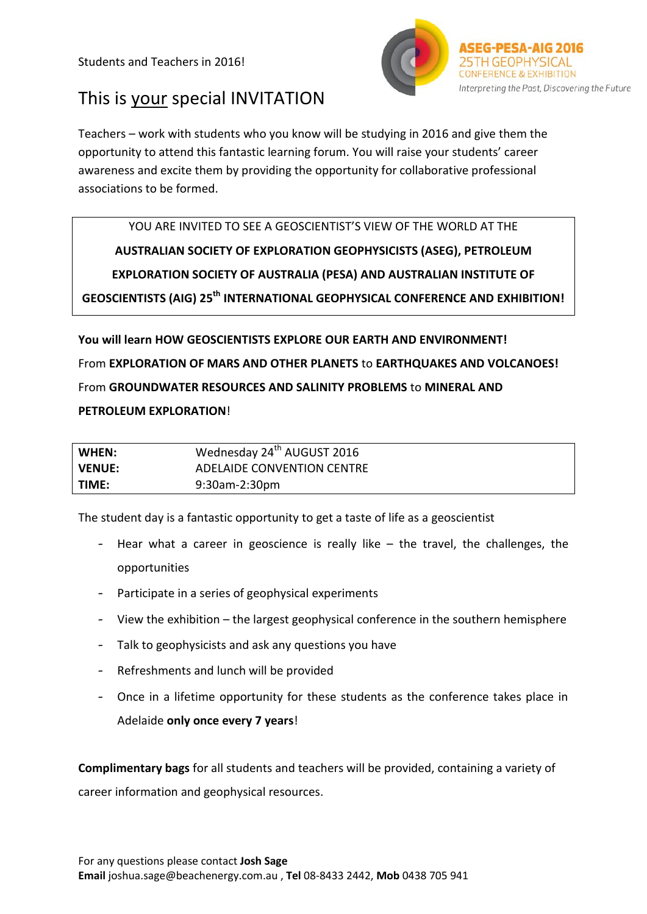Students and Teachers in 2016!



# This is your special INVITATION

Teachers – work with students who you know will be studying in 2016 and give them the opportunity to attend this fantastic learning forum. You will raise your students' career awareness and excite them by providing the opportunity for collaborative professional associations to be formed.

YOU ARE INVITED TO SEE A GEOSCIENTIST'S VIEW OF THE WORLD AT THE **AUSTRALIAN SOCIETY OF EXPLORATION GEOPHYSICISTS (ASEG), PETROLEUM EXPLORATION SOCIETY OF AUSTRALIA (PESA) AND AUSTRALIAN INSTITUTE OF GEOSCIENTISTS (AIG) 25th INTERNATIONAL GEOPHYSICAL CONFERENCE AND EXHIBITION!**

**You will learn HOW GEOSCIENTISTS EXPLORE OUR EARTH AND ENVIRONMENT!**  From **EXPLORATION OF MARS AND OTHER PLANETS** to **EARTHQUAKES AND VOLCANOES!**  From **GROUNDWATER RESOURCES AND SALINITY PROBLEMS** to **MINERAL AND** 

#### **PETROLEUM EXPLORATION**!

| WHEN:         | Wednesday 24 <sup>th</sup> AUGUST 2016 |
|---------------|----------------------------------------|
| <b>VENUE:</b> | ADELAIDE CONVENTION CENTRE             |
| TIME:         | 9:30am-2:30pm                          |

The student day is a fantastic opportunity to get a taste of life as a geoscientist

- Hear what a career in geoscience is really like the travel, the challenges, the opportunities
- Participate in a series of geophysical experiments
- View the exhibition the largest geophysical conference in the southern hemisphere
- Talk to geophysicists and ask any questions you have
- Refreshments and lunch will be provided
- Once in a lifetime opportunity for these students as the conference takes place in Adelaide **only once every 7 years**!

**Complimentary bags** for all students and teachers will be provided, containing a variety of career information and geophysical resources.